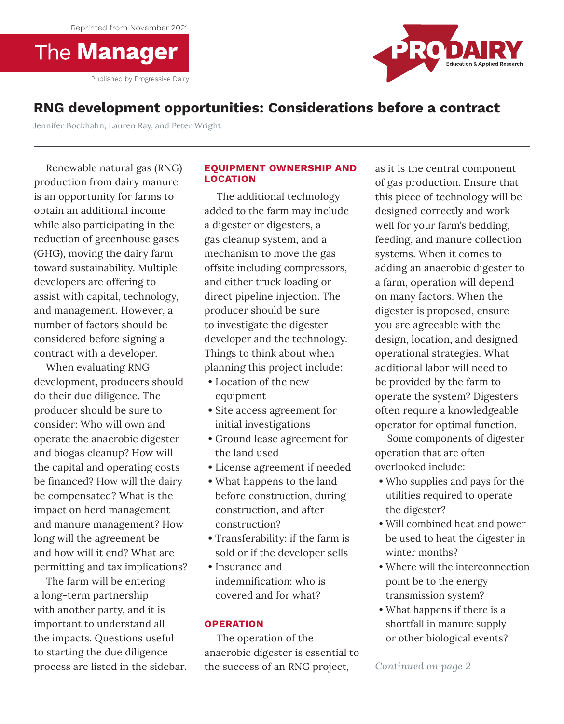**The Manager** 

Published by Progressive Dairy



# **RNG development opportunities: Considerations before a contract**

Jennifer Bockhahn, Lauren Ray, and Peter Wright

Renewable natural gas (RNG) production from dairy manure is an opportunity for farms to obtain an additional income while also participating in the reduction of greenhouse gases (GHG), moving the dairy farm toward sustainability. Multiple developers are offering to assist with capital, technology, and management. However, a number of factors should be considered before signing a contract with a developer.

When evaluating RNG development, producers should do their due diligence. The producer should be sure to consider: Who will own and operate the anaerobic digester and biogas cleanup? How will the capital and operating costs be financed? How will the dairy be compensated? What is the impact on herd management and manure management? How long will the agreement be and how will it end? What are permitting and tax implications?

The farm will be entering a long-term partnership with another party, and it is important to understand all the impacts. Questions useful to starting the due diligence process are listed in the sidebar.

## **EQUIPMENT OWNERSHIP AND LOCATION**

The additional technology added to the farm may include a digester or digesters, a gas cleanup system, and a mechanism to move the gas offsite including compressors, and either truck loading or direct pipeline injection. The producer should be sure to investigate the digester developer and the technology. Things to think about when planning this project include:

- Location of the new equipment
- Site access agreement for initial investigations
- Ground lease agreement for the land used
- License agreement if needed
- What happens to the land before construction, during construction, and after construction?
- Transferability: if the farm is sold or if the developer sells
- Insurance and indemnification: who is covered and for what?

## **OPERATION**

The operation of the anaerobic digester is essential to the success of an RNG project,

as it is the central component of gas production. Ensure that this piece of technology will be designed correctly and work well for your farm's bedding, feeding, and manure collection systems. When it comes to adding an anaerobic digester to a farm, operation will depend on many factors. When the digester is proposed, ensure you are agreeable with the design, location, and designed operational strategies. What additional labor will need to be provided by the farm to operate the system? Digesters often require a knowledgeable operator for optimal function.

Some components of digester operation that are often overlooked include:

- Who supplies and pays for the utilities required to operate the digester?
- Will combined heat and power be used to heat the digester in winter months?
- Where will the interconnection point be to the energy transmission system?
- What happens if there is a shortfall in manure supply or other biological events?

*Continued on page 2*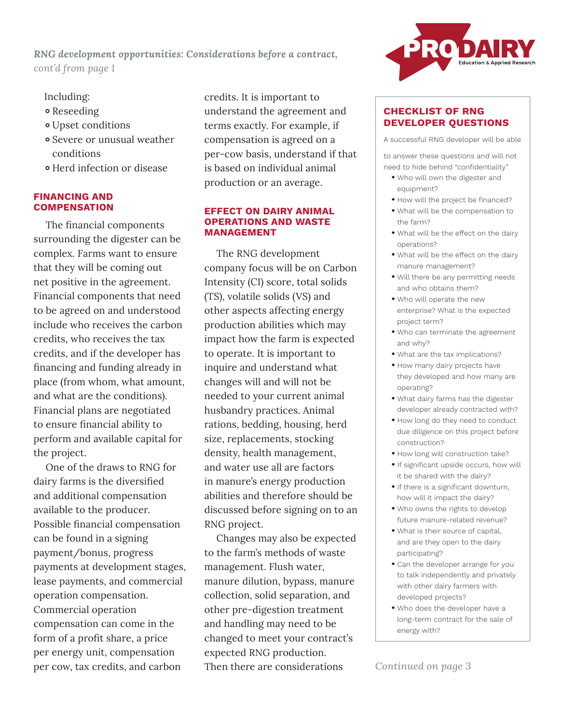*RNG development opportunities: Considerations before a contract, cont'd from page 1*

# Including:

- Reseeding
- Upset conditions
- Severe or unusual weather conditions
- Herd infection or disease

#### **FINANCING AND COMPENSATION**

The financial components surrounding the digester can be complex. Farms want to ensure that they will be coming out net positive in the agreement. Financial components that need to be agreed on and understood include who receives the carbon credits, who receives the tax credits, and if the developer has financing and funding already in place (from whom, what amount, and what are the conditions). Financial plans are negotiated to ensure financial ability to perform and available capital for the project.

One of the draws to RNG for dairy farms is the diversified and additional compensation available to the producer. Possible financial compensation can be found in a signing payment/bonus, progress payments at development stages, lease payments, and commercial operation compensation. Commercial operation compensation can come in the form of a profit share, a price per energy unit, compensation per cow, tax credits, and carbon

credits. It is important to understand the agreement and terms exactly. For example, if compensation is agreed on a per-cow basis, understand if that is based on individual animal production or an average.

#### **EFFECT ON DAIRY ANIMAL OPERATIONS AND WASTE MANAGEMENT**

The RNG development company focus will be on Carbon Intensity (CI) score, total solids (TS), volatile solids (VS) and other aspects affecting energy production abilities which may impact how the farm is expected to operate. It is important to inquire and understand what changes will and will not be needed to your current animal husbandry practices. Animal rations, bedding, housing, herd size, replacements, stocking density, health management, and water use all are factors in manure's energy production abilities and therefore should be discussed before signing on to an RNG project.

Changes may also be expected to the farm's methods of waste management. Flush water, manure dilution, bypass, manure collection, solid separation, and other pre-digestion treatment and handling may need to be changed to meet your contract's expected RNG production. Then there are considerations



## **CHECKLIST OF RNG DEVELOPER QUESTIONS**

A successful RNG developer will be able

to answer these questions and will not need to hide behind "confidentiality"

- Who will own the digester and equipment?
- How will the project be financed?
- What will be the compensation to the farm?
- What will be the effect on the dairy operations?
- What will be the effect on the dairy manure management?
- Will there be any permitting needs and who obtains them?
- Who will operate the new enterprise? What is the expected project term?
- Who can terminate the agreement and why?
- What are the tax implications?
- How many dairy projects have they developed and how many are operating?
- What dairy farms has the digester developer already contracted with?
- How long do they need to conduct due diligence on this project before construction?
- How long will construction take?
- If significant upside occurs, how will it be shared with the dairy?
- If there is a significant downturn, how will it impact the dairy?
- Who owns the rights to develop future manure-related revenue?
- What is their source of capital, and are they open to the dairy participating?
- Can the developer arrange for you to talk independently and privately with other dairy farmers with developed projects?
- Who does the developer have a long-term contract for the sale of energy with?

*Continued on page 3*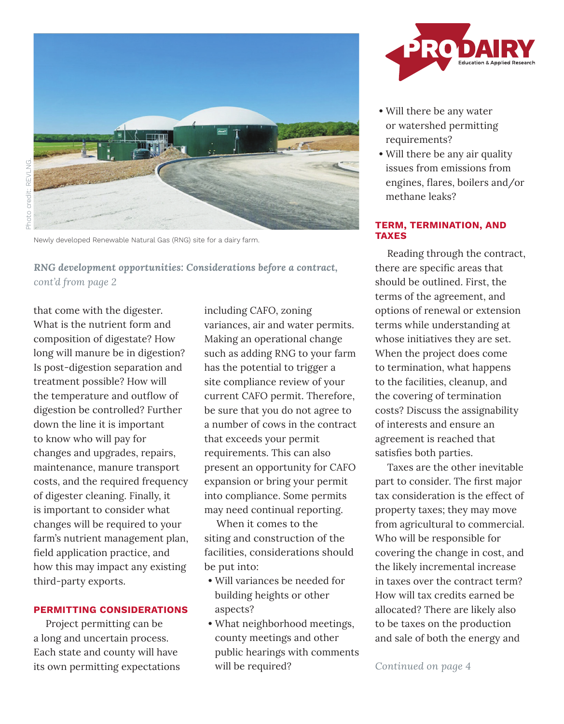

Newly developed Renewable Natural Gas (RNG) site for a dairy farm.

*RNG development opportunities: Considerations before a contract, cont'd from page 2*

that come with the digester. What is the nutrient form and composition of digestate? How long will manure be in digestion? Is post-digestion separation and treatment possible? How will the temperature and outflow of digestion be controlled? Further down the line it is important to know who will pay for changes and upgrades, repairs, maintenance, manure transport costs, and the required frequency of digester cleaning. Finally, it is important to consider what changes will be required to your farm's nutrient management plan, field application practice, and how this may impact any existing third-party exports.

## **PERMITTING CONSIDERATIONS**

Project permitting can be a long and uncertain process. Each state and county will have its own permitting expectations including CAFO, zoning variances, air and water permits. Making an operational change such as adding RNG to your farm has the potential to trigger a site compliance review of your current CAFO permit. Therefore, be sure that you do not agree to a number of cows in the contract that exceeds your permit requirements. This can also present an opportunity for CAFO expansion or bring your permit into compliance. Some permits may need continual reporting.

When it comes to the siting and construction of the facilities, considerations should be put into:

- Will variances be needed for building heights or other aspects?
- What neighborhood meetings, county meetings and other public hearings with comments will be required?



- Will there be any water or watershed permitting requirements?
- Will there be any air quality issues from emissions from engines, flares, boilers and/or methane leaks?

## **TERM, TERMINATION, AND TAXES**

Reading through the contract, there are specific areas that should be outlined. First, the terms of the agreement, and options of renewal or extension terms while understanding at whose initiatives they are set. When the project does come to termination, what happens to the facilities, cleanup, and the covering of termination costs? Discuss the assignability of interests and ensure an agreement is reached that satisfies both parties.

Taxes are the other inevitable part to consider. The first major tax consideration is the effect of property taxes; they may move from agricultural to commercial. Who will be responsible for covering the change in cost, and the likely incremental increase in taxes over the contract term? How will tax credits earned be allocated? There are likely also to be taxes on the production and sale of both the energy and

*Continued on page 4*